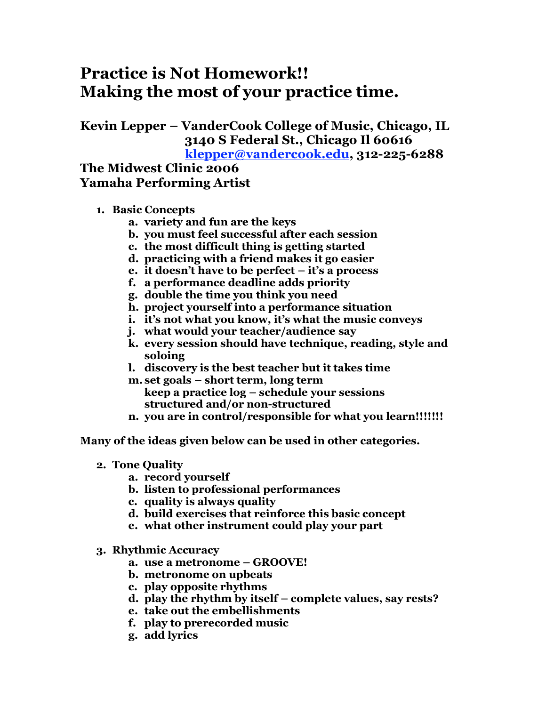## **Practice is Not Homework!! Making the most of your practice time.**

**Kevin Lepper – VanderCook College of Music, Chicago, IL 3140 S Federal St., Chicago Il 60616 klepper@vandercook.edu, 312-225-6288**

## **The Midwest Clinic 2006 Yamaha Performing Artist**

- **1. Basic Concepts**
	- **a. variety and fun are the keys**
	- **b. you must feel successful after each session**
	- **c. the most difficult thing is getting started**
	- **d. practicing with a friend makes it go easier**
	- **e. it doesn't have to be perfect – it's a process**
	- **f. a performance deadline adds priority**
	- **g. double the time you think you need**
	- **h. project yourself into a performance situation**
	- **i. it's not what you know, it's what the music conveys**
	- **j. what would your teacher/audience say**
	- **k. every session should have technique, reading, style and soloing**
	- **l. discovery is the best teacher but it takes time**
	- **m. set goals – short term, long term keep a practice log – schedule your sessions structured and/or non-structured**
	- **n. you are in control/responsible for what you learn!!!!!!!**

**Many of the ideas given below can be used in other categories.**

- **2. Tone Quality**
	- **a. record yourself**
	- **b. listen to professional performances**
	- **c. quality is always quality**
	- **d. build exercises that reinforce this basic concept**
	- **e. what other instrument could play your part**
- **3. Rhythmic Accuracy**
	- **a. use a metronome – GROOVE!**
	- **b. metronome on upbeats**
	- **c. play opposite rhythms**
	- **d. play the rhythm by itself – complete values, say rests?**
	- **e. take out the embellishments**
	- **f. play to prerecorded music**
	- **g. add lyrics**